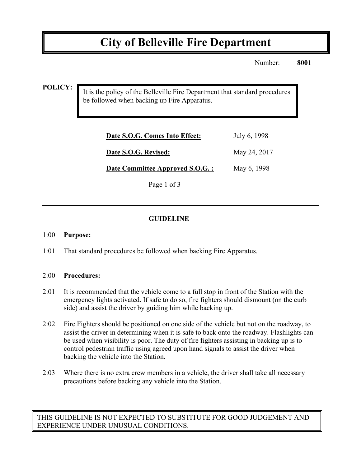# **City of Belleville Fire Department**

Number: **8001**

**POLICY:**

It is the policy of the Belleville Fire Department that standard procedures be followed when backing up Fire Apparatus.

| Date S.O.G. Comes Into Effect:   | July 6, 1998 |
|----------------------------------|--------------|
| Date S.O.G. Revised:             | May 24, 2017 |
| Date Committee Approved S.O.G. : | May 6, 1998  |
|                                  |              |

Page 1 of 3

# **GUIDELINE**

#### 1:00 **Purpose:**

1:01 That standard procedures be followed when backing Fire Apparatus.

## 2:00 **Procedures:**

- 2:01 It is recommended that the vehicle come to a full stop in front of the Station with the emergency lights activated. If safe to do so, fire fighters should dismount (on the curb side) and assist the driver by guiding him while backing up.
- 2:02 Fire Fighters should be positioned on one side of the vehicle but not on the roadway, to assist the driver in determining when it is safe to back onto the roadway. Flashlights can be used when visibility is poor. The duty of fire fighters assisting in backing up is to control pedestrian traffic using agreed upon hand signals to assist the driver when backing the vehicle into the Station.
- 2:03 Where there is no extra crew members in a vehicle, the driver shall take all necessary precautions before backing any vehicle into the Station.

THIS GUIDELINE IS NOT EXPECTED TO SUBSTITUTE FOR GOOD JUDGEMENT AND EXPERIENCE UNDER UNUSUAL CONDITIONS.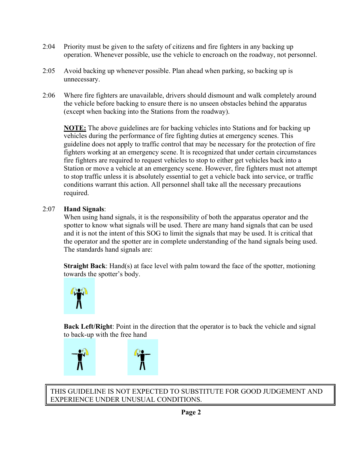- 2:04 Priority must be given to the safety of citizens and fire fighters in any backing up operation. Whenever possible, use the vehicle to encroach on the roadway, not personnel.
- 2:05 Avoid backing up whenever possible. Plan ahead when parking, so backing up is unnecessary.
- 2:06 Where fire fighters are unavailable, drivers should dismount and walk completely around the vehicle before backing to ensure there is no unseen obstacles behind the apparatus (except when backing into the Stations from the roadway).

**NOTE:** The above guidelines are for backing vehicles into Stations and for backing up vehicles during the performance of fire fighting duties at emergency scenes. This guideline does not apply to traffic control that may be necessary for the protection of fire fighters working at an emergency scene. It is recognized that under certain circumstances fire fighters are required to request vehicles to stop to either get vehicles back into a Station or move a vehicle at an emergency scene. However, fire fighters must not attempt to stop traffic unless it is absolutely essential to get a vehicle back into service, or traffic conditions warrant this action. All personnel shall take all the necessary precautions required.

## 2:07 **Hand Signals**:

When using hand signals, it is the responsibility of both the apparatus operator and the spotter to know what signals will be used. There are many hand signals that can be used and it is not the intent of this SOG to limit the signals that may be used. It is critical that the operator and the spotter are in complete understanding of the hand signals being used. The standards hand signals are:

**Straight Back**: Hand(s) at face level with palm toward the face of the spotter, motioning towards the spotter's body.



**Back Left/Right**: Point in the direction that the operator is to back the vehicle and signal to back-up with the free hand



THIS GUIDELINE IS NOT EXPECTED TO SUBSTITUTE FOR GOOD JUDGEMENT AND EXPERIENCE UNDER UNUSUAL CONDITIONS.